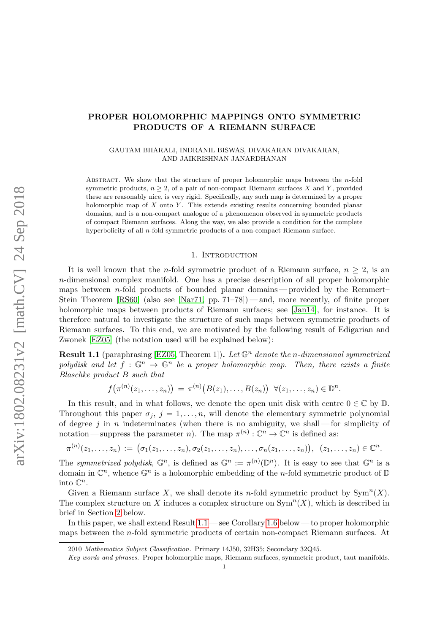# PROPER HOLOMORPHIC MAPPINGS ONTO SYMMETRIC PRODUCTS OF A RIEMANN SURFACE

## GAUTAM BHARALI, INDRANIL BISWAS, DIVAKARAN DIVAKARAN, AND JAIKRISHNAN JANARDHANAN

Abstract. We show that the structure of proper holomorphic maps between the n-fold symmetric products,  $n \geq 2$ , of a pair of non-compact Riemann surfaces X and Y, provided these are reasonably nice, is very rigid. Specifically, any such map is determined by a proper holomorphic map of  $X$  onto  $Y$ . This extends existing results concerning bounded planar domains, and is a non-compact analogue of a phenomenon observed in symmetric products of compact Riemann surfaces. Along the way, we also provide a condition for the complete hyperbolicity of all n-fold symmetric products of a non-compact Riemann surface.

### 1. INTRODUCTION

<span id="page-0-1"></span>It is well known that the *n*-fold symmetric product of a Riemann surface,  $n \geq 2$ , is an n-dimensional complex manifold. One has a precise description of all proper holomorphic maps between n-fold products of bounded planar domains — provided by the Remmert– Stein Theorem [\[RS60\]](#page-15-0) (also see [\[Nar71,](#page-15-1) pp. 71–78]) — and, more recently, of finite proper holomorphic maps between products of Riemann surfaces; see [\[Jan14\]](#page-15-2), for instance. It is therefore natural to investigate the structure of such maps between symmetric products of Riemann surfaces. To this end, we are motivated by the following result of Edigarian and Zwonek [\[EZ05\]](#page-15-3) (the notation used will be explained below):

<span id="page-0-0"></span>**Result 1.1** (paraphrasing [\[EZ05,](#page-15-3) Theorem 1]). Let  $\mathbb{G}^n$  denote the n-dimensional symmetrized polydisk and let  $f : \mathbb{G}^n \to \mathbb{G}^n$  be a proper holomorphic map. Then, there exists a finite Blaschke product B such that

$$
f\big(\pi^{(n)}(z_1,\ldots,z_n)\big)\,=\,\pi^{(n)}\big(B(z_1),\ldots,B(z_n)\big)\;\;\forall (z_1,\ldots,z_n)\in\mathbb{D}^n.
$$

In this result, and in what follows, we denote the open unit disk with centre  $0 \in \mathbb{C}$  by  $\mathbb{D}$ . Throughout this paper  $\sigma_j$ ,  $j = 1, \ldots, n$ , will denote the elementary symmetric polynomial of degree j in n indeterminates (when there is no ambiguity, we shall — for simplicity of notation—suppress the parameter *n*). The map  $\pi^{(n)} : \mathbb{C}^n \to \mathbb{C}^n$  is defined as:

$$
\pi^{(n)}(z_1,\ldots,z_n)\,:=\, \big(\sigma_1(z_1,\ldots,z_n),\sigma_2(z_1,\ldots,z_n),\ldots,\sigma_n(z_1,\ldots,z_n)\big),\;\; (z_1,\ldots,z_n)\in\mathbb{C}^n.
$$

The symmetrized polydisk,  $\mathbb{G}^n$ , is defined as  $\mathbb{G}^n := \pi^{(n)}(\mathbb{D}^n)$ . It is easy to see that  $\mathbb{G}^n$  is a domain in  $\mathbb{C}^n$ , whence  $\mathbb{G}^n$  is a holomorphic embedding of the *n*-fold symmetric product of  $\mathbb{D}$ into  $\mathbb{C}^n$ .

Given a Riemann surface X, we shall denote its n-fold symmetric product by  $\text{Sym}^n(X)$ . The complex structure on X induces a complex structure on  $\text{Sym}^n(X)$ , which is described in brief in Section [2](#page-3-0) below.

In this paper, we shall extend Result [1.1](#page-0-0) — see Corollary [1.6](#page-2-0) below — to proper holomorphic maps between the n-fold symmetric products of certain non-compact Riemann surfaces. At

<sup>2010</sup> Mathematics Subject Classification. Primary 14J50, 32H35; Secondary 32Q45.

Key words and phrases. Proper holomorphic maps, Riemann surfaces, symmetric product, taut manifolds.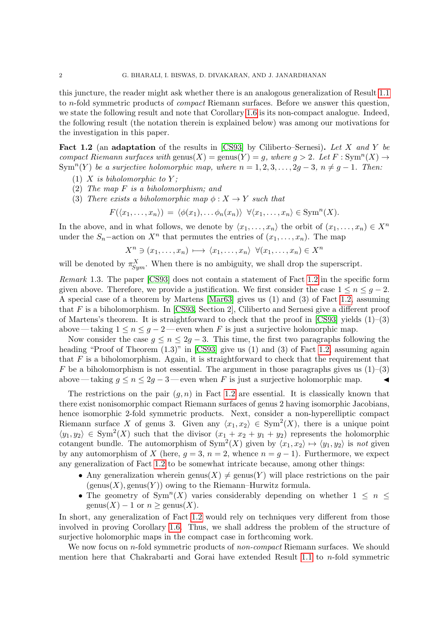this juncture, the reader might ask whether there is an analogous generalization of Result [1.1](#page-0-0) to n-fold symmetric products of compact Riemann surfaces. Before we answer this question, we state the following result and note that Corollary [1.6](#page-2-0) is its non-compact analogue. Indeed, the following result (the notation therein is explained below) was among our motivations for the investigation in this paper.

<span id="page-1-0"></span>Fact 1.2 (an adaptation of the results in [\[CS93\]](#page-15-4) by Ciliberto–Sernesi). Let X and Y be compact Riemann surfaces with  $\text{genus}(X) = \text{genus}(Y) = g$ , where  $g > 2$ . Let  $F : \text{Sym}^n(X) \to$ Sym<sup>n</sup>(Y) be a surjective holomorphic map, where  $n = 1, 2, 3, ..., 2g - 3, n \neq g - 1$ . Then:

- (1) X is biholomorphic to Y;
- (2) The map F is a biholomorphism; and
- (3) There exists a biholomorphic map  $\phi: X \to Y$  such that

$$
F(\langle x_1,\ldots,x_n\rangle)=\langle \phi(x_1),\ldots,\phi_n(x_n)\rangle \ \ \forall \langle x_1,\ldots,x_n\rangle\in \mathrm{Sym}^n(X).
$$

In the above, and in what follows, we denote by  $\langle x_1, \ldots, x_n \rangle$  the orbit of  $(x_1, \ldots, x_n) \in X^n$ under the  $S_n$ -action on  $X^n$  that permutes the entries of  $(x_1, \ldots, x_n)$ . The map

$$
X^n \ni (x_1, \ldots, x_n) \longmapsto \langle x_1, \ldots, x_n \rangle \ \forall (x_1, \ldots, x_n) \in X^n
$$

will be denoted by  $\pi_{Sym}^X$ . When there is no ambiguity, we shall drop the superscript.

Remark 1.3. The paper [\[CS93\]](#page-15-4) does not contain a statement of Fact [1.2](#page-1-0) in the specific form given above. Therefore, we provide a justification. We first consider the case  $1 \leq n \leq g-2$ . A special case of a theorem by Martens [\[Mar63\]](#page-15-5) gives us (1) and (3) of Fact [1.2,](#page-1-0) assuming that F is a biholomorphism. In [\[CS93,](#page-15-4) Section 2], Ciliberto and Sernesi give a different proof of Martens's theorem. It is straightforward to check that the proof in [\[CS93\]](#page-15-4) yields  $(1)$ –(3) above — taking  $1 \le n \le g - 2$ — even when F is just a surjective holomorphic map.

Now consider the case  $g \le n \le 2g - 3$ . This time, the first two paragraphs following the heading "Proof of Theorem  $(1.3)$ " in [\[CS93\]](#page-15-4) give us  $(1)$  and  $(3)$  of Fact [1.2,](#page-1-0) assuming again that  $F$  is a biholomorphism. Again, it is straightforward to check that the requirement that F be a biholomorphism is not essential. The argument in those paragraphs gives us  $(1)$ – $(3)$ above — taking  $g \le n \le 2g - 3$  — even when F is just a surjective holomorphic map.  $\triangleleft$ 

The restrictions on the pair  $(q, n)$  in Fact [1.2](#page-1-0) are essential. It is classically known that there exist nonisomorphic compact Riemann surfaces of genus 2 having isomorphic Jacobians, hence isomorphic 2-fold symmetric products. Next, consider a non-hyperelliptic compact Riemann surface X of genus 3. Given any  $\langle x_1, x_2 \rangle \in \text{Sym}^2(X)$ , there is a unique point  $\langle y_1, y_2 \rangle \in \text{Sym}^2(X)$  such that the divisor  $(x_1 + x_2 + y_1 + y_2)$  represents the holomorphic cotangent bundle. The automorphism of  $Sym^2(X)$  given by  $\langle x_1, x_2 \rangle \mapsto \langle y_1, y_2 \rangle$  is not given by any automorphism of X (here,  $g = 3$ ,  $n = 2$ , whence  $n = g - 1$ ). Furthermore, we expect any generalization of Fact [1.2](#page-1-0) to be somewhat intricate because, among other things:

- Any generalization wherein genus(X)  $\neq$  genus(Y) will place restrictions on the pair  $(genus(X), genus(Y))$  owing to the Riemann–Hurwitz formula.
- The geometry of  $Sym^n(X)$  varies considerably depending on whether  $1 \leq n \leq$  $\text{genus}(X) - 1$  or  $n \geq \text{genus}(X)$ .

In short, any generalization of Fact [1.2](#page-1-0) would rely on techniques very different from those involved in proving Corollary [1.6.](#page-2-0) Thus, we shall address the problem of the structure of surjective holomorphic maps in the compact case in forthcoming work.

We now focus on  $n$ -fold symmetric products of  $non-compact$  Riemann surfaces. We should mention here that Chakrabarti and Gorai have extended Result [1.1](#page-0-0) to  $n$ -fold symmetric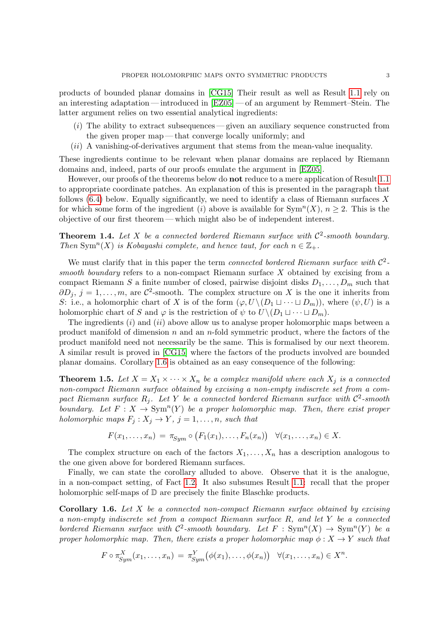products of bounded planar domains in [\[CG15\]](#page-15-6) Their result as well as Result [1.1](#page-0-0) rely on an interesting adaptation— introduced in [\[EZ05\]](#page-15-3)— of an argument by Remmert–Stein. The latter argument relies on two essential analytical ingredients:

- $(i)$  The ability to extract subsequences given an auxiliary sequence constructed from the given proper map — that converge locally uniformly; and
- $(ii)$  A vanishing-of-derivatives argument that stems from the mean-value inequality.

These ingredients continue to be relevant when planar domains are replaced by Riemann domains and, indeed, parts of our proofs emulate the argument in [\[EZ05\]](#page-15-3).

However, our proofs of the theorems below do **not** reduce to a mere application of Result [1.1](#page-0-0) to appropriate coordinate patches. An explanation of this is presented in the paragraph that follows  $(6.4)$  below. Equally significantly, we need to identify a class of Riemann surfaces X for which some form of the ingredient (i) above is available for  $\text{Sym}^n(X)$ ,  $n \geq 2$ . This is the objective of our first theorem — which might also be of independent interest.

<span id="page-2-2"></span>**Theorem 1.4.** Let X be a connected bordered Riemann surface with  $C^2$ -smooth boundary. Then Sym<sup>n</sup>(X) is Kobayashi complete, and hence taut, for each  $n \in \mathbb{Z}_+$ .

We must clarify that in this paper the term connected bordered Riemann surface with  $\mathcal{C}^2$ smooth boundary refers to a non-compact Riemann surface X obtained by excising from a compact Riemann S a finite number of closed, pairwise disjoint disks  $D_1, \ldots, D_m$  such that  $\partial D_j$ ,  $j = 1, \ldots, m$ , are  $\mathcal{C}^2$ -smooth. The complex structure on X is the one it inherits from S: i.e., a holomorphic chart of X is of the form  $(\varphi, U \setminus (D_1 \sqcup \cdots \sqcup D_m))$ , where  $(\psi, U)$  is a holomorphic chart of S and  $\varphi$  is the restriction of  $\psi$  to  $U\setminus (D_1\sqcup\cdots\sqcup D_m)$ .

The ingredients  $(i)$  and  $(ii)$  above allow us to analyse proper holomorphic maps between a product manifold of dimension  $n$  and an  $n$ -fold symmetric product, where the factors of the product manifold need not necessarily be the same. This is formalised by our next theorem. A similar result is proved in [\[CG15\]](#page-15-6) where the factors of the products involved are bounded planar domains. Corollary [1.6](#page-2-0) is obtained as an easy consequence of the following:

<span id="page-2-1"></span>**Theorem 1.5.** Let  $X = X_1 \times \cdots \times X_n$  be a complex manifold where each  $X_i$  is a connected non-compact Riemann surface obtained by excising a non-empty indiscrete set from a compact Riemann surface  $R_j$ . Let Y be a connected bordered Riemann surface with  $\mathcal{C}^2$ -smooth boundary. Let  $F: X \to \text{Sym}^n(Y)$  be a proper holomorphic map. Then, there exist proper holomorphic maps  $F_j : X_j \to Y$ ,  $j = 1, ..., n$ , such that

$$
F(x_1,\ldots,x_n) = \pi_{\text{Sym}} \circ (F_1(x_1),\ldots,F_n(x_n)) \quad \forall (x_1,\ldots,x_n) \in X.
$$

The complex structure on each of the factors  $X_1, \ldots, X_n$  has a description analogous to the one given above for bordered Riemann surfaces.

Finally, we can state the corollary alluded to above. Observe that it is the analogue, in a non-compact setting, of Fact [1.2.](#page-1-0) It also subsumes Result [1.1:](#page-0-0) recall that the proper holomorphic self-maps of  $\mathbb D$  are precisely the finite Blaschke products.

<span id="page-2-0"></span>**Corollary 1.6.** Let  $X$  be a connected non-compact Riemann surface obtained by excising a non-empty indiscrete set from a compact Riemann surface R, and let Y be a connected bordered Riemann surface with  $C^2$ -smooth boundary. Let  $F : Sym^n(X) \to Sym^n(Y)$  be a proper holomorphic map. Then, there exists a proper holomorphic map  $\phi: X \to Y$  such that

$$
F \circ \pi_{Sym}^X(x_1,\ldots,x_n) = \pi_{Sym}^Y(\phi(x_1),\ldots,\phi(x_n)) \quad \forall (x_1,\ldots,x_n) \in X^n.
$$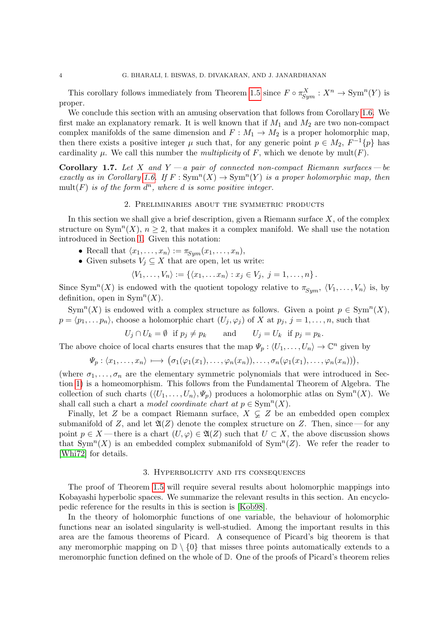This corollary follows immediately from Theorem [1.5](#page-2-1) since  $F \circ \pi_{Sym}^X : X^n \to \text{Sym}^n(Y)$  is proper.

We conclude this section with an amusing observation that follows from Corollary [1.6.](#page-2-0) We first make an explanatory remark. It is well known that if  $M_1$  and  $M_2$  are two non-compact complex manifolds of the same dimension and  $F : M_1 \to M_2$  is a proper holomorphic map, then there exists a positive integer  $\mu$  such that, for any generic point  $p \in M_2$ ,  $F^{-1}\{p\}$  has cardinality  $\mu$ . We call this number the *multiplicity* of F, which we denote by mult(F).

Corollary 1.7. Let X and  $Y - a$  pair of connected non-compact Riemann surfaces  $- be$ exactly as in Corollary [1.6.](#page-2-0) If  $F: Sym^n(X) \to Sym^n(Y)$  is a proper holomorphic map, then  $mult(F)$  is of the form  $d^n$ , where d is some positive integer.

## 2. Preliminaries about the symmetric products

<span id="page-3-0"></span>In this section we shall give a brief description, given a Riemann surface  $X$ , of the complex structure on  $\text{Sym}^n(X)$ ,  $n \geq 2$ , that makes it a complex manifold. We shall use the notation introduced in Section [1.](#page-0-1) Given this notation:

- Recall that  $\langle x_1, \ldots, x_n \rangle := \pi_{Sym}(x_1, \ldots, x_n),$
- Given subsets  $V_j \subseteq X$  that are open, let us write:

$$
\langle V_1,\ldots,V_n\rangle:=\left\{\langle x_1,\ldots x_n\rangle:x_j\in V_j,\ j=1,\ldots,n\right\}.
$$

Since Sym<sup>n</sup>(X) is endowed with the quotient topology relative to  $\pi_{Sym}$ ,  $\langle V_1, \ldots, V_n \rangle$  is, by definition, open in  $\text{Sym}^n(X)$ .

Sym<sup>n</sup>(X) is endowed with a complex structure as follows. Given a point  $p \in \text{Sym}^n(X)$ ,  $p = \langle p_1, \ldots, p_n \rangle$ , choose a holomorphic chart  $(U_j, \varphi_j)$  of X at  $p_j, j = 1, \ldots, n$ , such that

$$
U_j \cap U_k = \emptyset \text{ if } p_j \neq p_k \quad \text{and} \quad U_j = U_k \text{ if } p_j = p_k.
$$

The above choice of local charts ensures that the map  $\Psi_p : \langle U_1, \ldots, U_n \rangle \to \mathbb{C}^n$  given by

$$
\Psi_p: \langle x_1,\ldots,x_n\rangle\,\longmapsto\, \big(\sigma_1(\varphi_1(x_1),\ldots,\varphi_n(x_n)),\ldots,\sigma_n(\varphi_1(x_1),\ldots,\varphi_n(x_n))\big),
$$

(where  $\sigma_1, \ldots, \sigma_n$  are the elementary symmetric polynomials that were introduced in Section [1\)](#page-0-1) is a homeomorphism. This follows from the Fundamental Theorem of Algebra. The collection of such charts  $(\langle U_1, \ldots, U_n \rangle, \Psi_p)$  produces a holomorphic atlas on Sym<sup>n</sup>(X). We shall call such a chart a *model coordinate chart at*  $p \in \text{Sym}^n(X)$ .

Finally, let Z be a compact Riemann surface,  $X \subsetneq Z$  be an embedded open complex submanifold of Z, and let  $\mathfrak{A}(Z)$  denote the complex structure on Z. Then, since — for any point  $p \in X$  — there is a chart  $(U, \varphi) \in \mathfrak{A}(Z)$  such that  $U \subset X$ , the above discussion shows that Sym<sup>n</sup>(X) is an embedded complex submanifold of Sym<sup>n</sup>(Z). We refer the reader to [\[Whi72\]](#page-15-7) for details.

## 3. Hyperbolicity and its consequences

The proof of Theorem [1.5](#page-2-1) will require several results about holomorphic mappings into Kobayashi hyperbolic spaces. We summarize the relevant results in this section. An encyclopedic reference for the results in this is section is [\[Kob98\]](#page-15-8).

In the theory of holomorphic functions of one variable, the behaviour of holomorphic functions near an isolated singularity is well-studied. Among the important results in this area are the famous theorems of Picard. A consequence of Picard's big theorem is that any meromorphic mapping on  $\mathbb{D}\setminus\{0\}$  that misses three points automatically extends to a meromorphic function defined on the whole of D. One of the proofs of Picard's theorem relies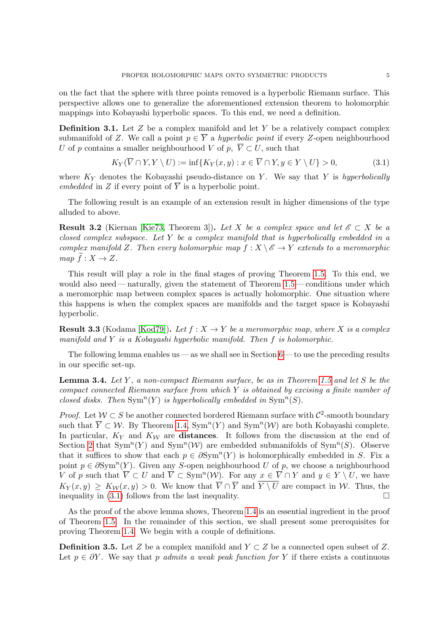on the fact that the sphere with three points removed is a hyperbolic Riemann surface. This perspective allows one to generalize the aforementioned extension theorem to holomorphic mappings into Kobayashi hyperbolic spaces. To this end, we need a definition.

**Definition 3.1.** Let  $Z$  be a complex manifold and let  $Y$  be a relatively compact complex submanifold of Z. We call a point  $p \in \overline{Y}$  a hyperbolic point if every Z-open neighbourhood U of p contains a smaller neighbourhood V of p,  $\overline{V} \subset U$ , such that

<span id="page-4-0"></span>
$$
K_Y(V \cap Y, Y \setminus U) := \inf\{K_Y(x, y) : x \in V \cap Y, y \in Y \setminus U\} > 0,
$$
\n
$$
(3.1)
$$

where  $K_Y$  denotes the Kobayashi pseudo-distance on Y. We say that Y is hyperbolically embedded in Z if every point of  $\overline{Y}$  is a hyperbolic point.

The following result is an example of an extension result in higher dimensions of the type alluded to above.

<span id="page-4-2"></span>**Result 3.2** (Kiernan [\[Kie73,](#page-15-9) Theorem 3]). Let X be a complex space and let  $\mathscr{E} \subset X$  be a closed complex subspace. Let Y be a complex manifold that is hyperbolically embedded in a complex manifold Z. Then every holomorphic map  $f: X \setminus \mathscr{E} \to Y$  extends to a meromorphic map  $\widetilde{f}: X \to Z$ .

This result will play a role in the final stages of proving Theorem [1.5.](#page-2-1) To this end, we would also need—naturally, given the statement of Theorem  $1.5$ —conditions under which a meromorphic map between complex spaces is actually holomorphic. One situation where this happens is when the complex spaces are manifolds and the target space is Kobayashi hyperbolic.

<span id="page-4-3"></span>**Result 3.3** (Kodama [\[Kod79\]](#page-15-10)). Let  $f : X \to Y$  be a meromorphic map, where X is a complex manifold and Y is a Kobayashi hyperbolic manifold. Then f is holomorphic.

The following lemma enables us — as we shall see in Section  $6$  — to use the preceding results in our specific set-up.

<span id="page-4-1"></span>**Lemma 3.4.** Let Y, a non-compact Riemann surface, be as in Theorem [1.5](#page-2-1) and let S be the compact connected Riemann surface from which  $Y$  is obtained by excising a finite number of closed disks. Then  $\text{Sym}^n(Y)$  is hyperbolically embedded in  $\text{Sym}^n(S)$ .

*Proof.* Let  $W \subset S$  be another connected bordered Riemann surface with  $\mathcal{C}^2$ -smooth boundary such that  $\overline{Y} \subset \mathcal{W}$ . By Theorem [1.4,](#page-2-2)  $\text{Sym}^n(Y)$  and  $\text{Sym}^n(\mathcal{W})$  are both Kobayashi complete. In particular,  $K_Y$  and  $K_W$  are distances. It follows from the discussion at the end of Section [2](#page-3-0) that  $Sym^n(Y)$  and  $Sym^n(W)$  are embedded submanifolds of  $Sym^n(S)$ . Observe that it suffices to show that each  $p \in \partial \text{Sym}^n(Y)$  is holomorphically embedded in S. Fix a point  $p \in \partial \text{Sym}^n(Y)$ . Given any S-open neighbourhood U of p, we choose a neighbourhood V of p such that  $\overline{V} \subset U$  and  $\overline{V} \subset \text{Sym}^n(W)$ . For any  $x \in \overline{V} \cap Y$  and  $y \in Y \setminus U$ , we have  $K_Y(x, y) \geq K_W(x, y) > 0$ . We know that  $\overline{V} \cap \overline{Y}$  and  $\overline{Y \setminus U}$  are compact in W. Thus, the inequality in [\(3.1\)](#page-4-0) follows from the last inequality.  $\Box$ 

As the proof of the above lemma shows, Theorem [1.4](#page-2-2) is an essential ingredient in the proof of Theorem [1.5.](#page-2-1) In the remainder of this section, we shall present some prerequisites for proving Theorem [1.4.](#page-2-2) We begin with a couple of definitions.

**Definition 3.5.** Let Z be a complex manifold and  $Y \subset Z$  be a connected open subset of Z. Let  $p \in \partial Y$ . We say that p admits a weak peak function for Y if there exists a continuous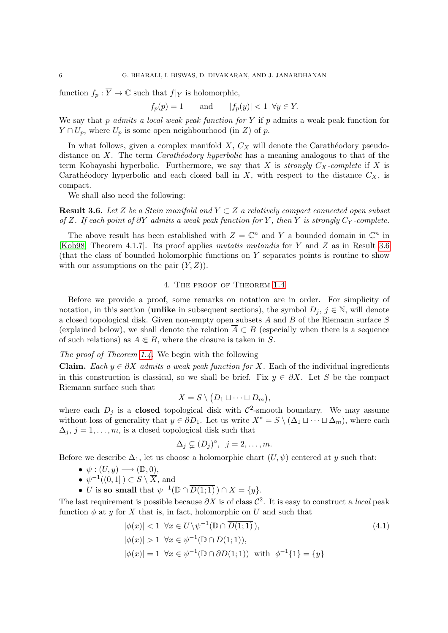function  $f_p : \overline{Y} \to \mathbb{C}$  such that  $f|_Y$  is holomorphic,

$$
f_p(p) = 1
$$
 and  $|f_p(y)| < 1 \ \forall y \in Y.$ 

We say that p admits a local weak peak function for Y if p admits a weak peak function for  $Y \cap U_p$ , where  $U_p$  is some open neighbourhood (in Z) of p.

In what follows, given a complex manifold  $X, C_X$  will denote the Carathéodory pseudodistance on X. The term *Carath* $\epsilon$ *odory hyperbolic* has a meaning analogous to that of the term Kobayashi hyperbolic. Furthermore, we say that X is strongly  $C_X$ -complete if X is Carathéodory hyperbolic and each closed ball in X, with respect to the distance  $C_X$ , is compact.

We shall also need the following:

<span id="page-5-0"></span>**Result 3.6.** Let Z be a Stein manifold and  $Y \subset Z$  a relatively compact connected open subset of Z. If each point of  $\partial Y$  admits a weak peak function for Y, then Y is strongly Cy-complete.

The above result has been established with  $Z = \mathbb{C}^n$  and Y a bounded domain in  $\mathbb{C}^n$  in [\[Kob98,](#page-15-8) Theorem 4.1.7]. Its proof applies mutatis mutandis for Y and Z as in Result [3.6](#page-5-0) (that the class of bounded holomorphic functions on Y separates points is routine to show with our assumptions on the pair  $(Y, Z)$ .

# 4. The proof of Theorem [1.4](#page-2-2)

Before we provide a proof, some remarks on notation are in order. For simplicity of notation, in this section (unlike in subsequent sections), the symbol  $D_i$ ,  $j \in \mathbb{N}$ , will denote a closed topological disk. Given non-empty open subsets A and B of the Riemann surface S (explained below), we shall denote the relation  $\overline{A} \subset B$  (especially when there is a sequence of such relations) as  $A \in B$ , where the closure is taken in S.

The proof of Theorem [1.4.](#page-2-2) We begin with the following

**Claim.** Each  $y \in \partial X$  admits a weak peak function for X. Each of the individual ingredients in this construction is classical, so we shall be brief. Fix  $y \in \partial X$ . Let S be the compact Riemann surface such that

$$
X = S \setminus (D_1 \sqcup \cdots \sqcup D_m),
$$

where each  $D_j$  is a **closed** topological disk with  $\mathcal{C}^2$ -smooth boundary. We may assume without loss of generality that  $y \in \partial D_1$ . Let us write  $X^* = S \setminus (\Delta_1 \sqcup \cdots \sqcup \Delta_m)$ , where each  $\Delta_j$ ,  $j = 1, \ldots, m$ , is a closed topological disk such that

<span id="page-5-1"></span>
$$
\Delta_j \subsetneq (D_j)^{\circ}, \ \ j=2,\ldots,m.
$$

Before we describe  $\Delta_1$ , let us choose a holomorphic chart  $(U, \psi)$  centered at y such that:

- $\psi: (U, y) \longrightarrow (\mathbb{D}, 0),$
- $\psi^{-1}((0,1]) \subset S \setminus \overline{X}$ , and
- U is so small that  $\psi^{-1}(\mathbb{D} \cap \overline{D(1;1)}) \cap \overline{X} = \{y\}.$

The last requirement is possible because  $\partial X$  is of class  $\mathcal{C}^2$ . It is easy to construct a *local* peak function  $\phi$  at y for X that is, in fact, holomorphic on U and such that

$$
|\phi(x)| < 1 \ \forall x \in U \setminus \psi^{-1}(\mathbb{D} \cap \overline{D(1;1)}),
$$
\n
$$
|\phi(x)| > 1 \ \forall x \in \psi^{-1}(\mathbb{D} \cap D(1;1)),
$$
\n
$$
|\phi(x)| = 1 \ \forall x \in \psi^{-1}(\mathbb{D} \cap \partial D(1;1)) \ \text{with} \ \phi^{-1}\{1\} = \{y\}
$$
\n
$$
(4.1)
$$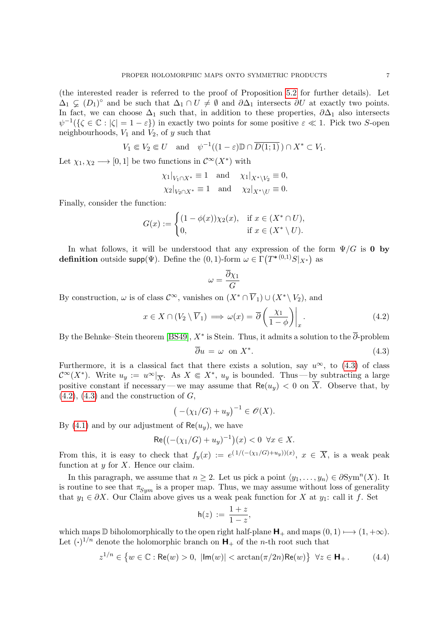(the interested reader is referred to the proof of Proposition [5.2](#page-8-0) for further details). Let  $\Delta_1 \subsetneq (D_1)^\circ$  and be such that  $\Delta_1 \cap U \neq \emptyset$  and  $\partial \Delta_1$  intersects  $\partial U$  at exactly two points. In fact, we can choose  $\Delta_1$  such that, in addition to these properties,  $\partial \Delta_1$  also intersects  $\psi^{-1}(\{\zeta \in \mathbb{C} : |\zeta| = 1 - \varepsilon\})$  in exactly two points for some positive  $\varepsilon \ll 1$ . Pick two S-open neighbourhoods,  $V_1$  and  $V_2$ , of y such that

$$
V_1 \Subset V_2 \Subset U \quad \text{and} \quad \psi^{-1}((1 - \varepsilon) \mathbb{D} \cap \overline{D(1; 1)}) \cap X^* \subset V_1.
$$

Let  $\chi_1, \chi_2 \longrightarrow [0, 1]$  be two functions in  $\mathcal{C}^{\infty}(X^*)$  with

$$
\chi_1|_{V_1 \cap X^*} \equiv 1
$$
 and  $\chi_1|_{X^* \setminus V_2} \equiv 0$ ,  
\n $\chi_2|_{V_2 \cap X^*} \equiv 1$  and  $\chi_2|_{X^* \setminus U} \equiv 0$ .

Finally, consider the function:

$$
G(x) := \begin{cases} (1 - \phi(x))\chi_2(x), & \text{if } x \in (X^* \cap U), \\ 0, & \text{if } x \in (X^* \setminus U). \end{cases}
$$

In what follows, it will be understood that any expression of the form  $\Psi/G$  is 0 by definition outside supp( $\Psi$ ). Define the (0,1)-form  $\omega \in \Gamma\left(T^{*\,(0,1)}S|_{X^*}\right)$  as

$$
\omega=\frac{\overline{\partial}\chi_1}{G}
$$

By construction,  $\omega$  is of class  $\mathcal{C}^{\infty}$ , vanishes on  $(X^* \cap \overline{V}_1) \cup (X^* \setminus V_2)$ , and

<span id="page-6-1"></span>
$$
x \in X \cap (V_2 \setminus \overline{V}_1) \implies \omega(x) = \overline{\partial} \left( \frac{\chi_1}{1 - \phi} \right) \Big|_x. \tag{4.2}
$$

By the Behnke–Stein theorem [\[BS49\]](#page-15-11),  $X^*$  is Stein. Thus, it admits a solution to the  $\overline{\partial}$ -problem

<span id="page-6-0"></span>
$$
\overline{\partial}u = \omega \text{ on } X^*.\tag{4.3}
$$

Furthermore, it is a classical fact that there exists a solution, say  $u^{\infty}$ , to [\(4.3\)](#page-6-0) of class  $\mathcal{C}^{\infty}(X^*)$ . Write  $u_y := u^{\infty}|_{\overline{X}}$ . As  $X \in X^*$ ,  $u_y$  is bounded. Thus—by subtracting a large positive constant if necessary—we may assume that  $\text{Re}(u_y) < 0$  on  $\overline{X}$ . Observe that, by  $(4.2)$ ,  $(4.3)$  and the construction of  $G$ ,

$$
(-(\chi_1/G) + u_y)^{-1} \in \mathscr{O}(X).
$$

By [\(4.1\)](#page-5-1) and by our adjustment of  $\text{Re}(u_y)$ , we have

$$
\text{Re}\big((-(\chi_1/G) + u_y)^{-1}\big)(x) < 0 \ \ \forall x \in X.
$$

From this, it is easy to check that  $f_y(x) := e^{(1/(-(\chi_1/G)+u_y))(x)}, x \in \overline{X}$ , is a weak peak function at  $y$  for  $X$ . Hence our claim.

In this paragraph, we assume that  $n \geq 2$ . Let us pick a point  $\langle y_1, \ldots, y_n \rangle \in \partial \text{Sym}^n(X)$ . It is routine to see that  $\pi_{Sym}$  is a proper map. Thus, we may assume without loss of generality that  $y_1 \in \partial X$ . Our Claim above gives us a weak peak function for X at  $y_1$ : call it f. Set

$$
\mathsf{h}(z) := \frac{1+z}{1-z},
$$

which maps  $\mathbb D$  biholomorphically to the open right half-plane  $\mathsf H_+$  and maps  $(0,1) \mapsto (1, +\infty)$ . Let  $(\cdot)^{1/n}$  denote the holomorphic branch on  $H_{+}$  of the *n*-th root such that

<span id="page-6-2"></span>
$$
z^{1/n} \in \left\{ w \in \mathbb{C} : \text{Re}(w) > 0, \ |\text{Im}(w)| < \arctan(\pi/2n)\text{Re}(w) \right\} \ \forall z \in \mathbf{H}_+ \,. \tag{4.4}
$$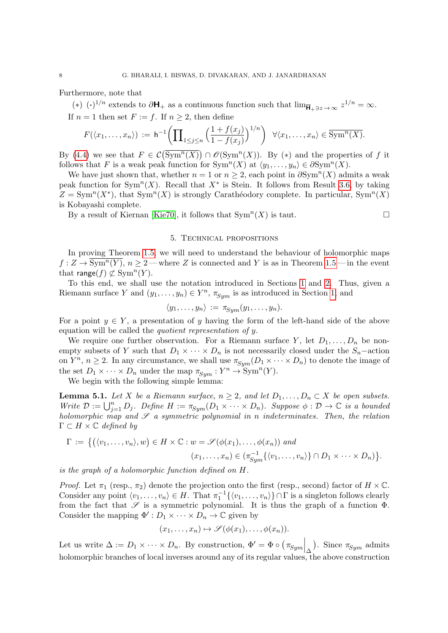Furthermore, note that

(\*)  $(\cdot)^{1/n}$  extends to  $\partial \mathbf{H}_{+}$  as a continuous function such that  $\lim_{\mathbf{\overline{H}}_{+} \ni z \to \infty} z^{1/n} = \infty$ .

If  $n = 1$  then set  $F := f$ . If  $n \geq 2$ , then define

$$
F(\langle x_1,\ldots,x_n\rangle):=\mathsf{h}^{-1}\bigg(\prod_{1\leq j\leq n}\Big(\frac{1+f(x_j)}{1-f(x_j)}\Big)^{1/n}\bigg)\quad\forall\langle x_1,\ldots,x_n\rangle\in\overline{\mathrm{Sym}^n(X)}.
$$

By [\(4.4\)](#page-6-2) we see that  $F \in \mathcal{C}(\overline{\text{Sym}^n(X)}) \cap \mathcal{O}(\text{Sym}^n(X))$ . By (\*) and the properties of f it follows that F is a weak peak function for  $\text{Sym}^n(X)$  at  $\langle y_1, \ldots, y_n \rangle \in \partial \text{Sym}^n(X)$ .

We have just shown that, whether  $n = 1$  or  $n \geq 2$ , each point in  $\partial \text{Sym}^n(X)$  admits a weak peak function for  $\text{Sym}^n(X)$ . Recall that  $X^*$  is Stein. It follows from Result [3.6,](#page-5-0) by taking  $Z = \text{Sym}^n(X^*)$ , that  $\text{Sym}^n(X)$  is strongly Carathéodory complete. In particular,  $\text{Sym}^n(X)$ is Kobayashi complete.

By a result of Kiernan [\[Kie70\]](#page-15-12), it follows that  $\text{Sym}^n(X)$  is taut.

## 5. Technical propositions

In proving Theorem [1.5,](#page-2-1) we will need to understand the behaviour of holomorphic maps  $f: Z \to \overline{\text{Sym}^n(Y)}$ ,  $n \ge 2$  — where Z is connected and Y is as in Theorem [1.5](#page-2-1) — in the event that range $(f) \not\subset \text{Sym}^n(Y)$ .

To this end, we shall use the notation introduced in Sections [1](#page-0-1) and [2.](#page-3-0) Thus, given a Riemann surface Y and  $(y_1, \ldots, y_n) \in Y^n$ ,  $\pi_{Sym}$  is as introduced in Section [1,](#page-0-1) and

$$
\langle y_1,\ldots,y_n\rangle := \pi_{Sym}(y_1,\ldots,y_n).
$$

For a point  $y \in Y$ , a presentation of y having the form of the left-hand side of the above equation will be called the quotient representation of y.

We require one further observation. For a Riemann surface Y, let  $D_1, \ldots, D_n$  be nonempty subsets of Y such that  $D_1 \times \cdots \times D_n$  is not necessarily closed under the  $S_n$ -action on  $Y^n$ ,  $n \geq 2$ . In any circumstance, we shall use  $\pi_{Sym}(D_1 \times \cdots \times D_n)$  to denote the image of the set  $D_1 \times \cdots \times D_n$  under the map  $\pi_{Sym} : Y^n \to \text{Sym}^n(Y)$ .

We begin with the following simple lemma:

<span id="page-7-0"></span>**Lemma 5.1.** Let X be a Riemann surface,  $n \geq 2$ , and let  $D_1, \ldots, D_n \subset X$  be open subsets. Write  $\mathcal{D} := \bigcup_{j=1}^n D_j$ . Define  $H := \pi_{Sym}(D_1 \times \cdots \times D_n)$ . Suppose  $\phi : \mathcal{D} \to \mathbb{C}$  is a bounded holomorphic map and  $\mathscr S$  a symmetric polynomial in n indeterminates. Then, the relation  $\Gamma \subset H \times \mathbb{C}$  defined by

$$
\Gamma := \{ ((v_1, \ldots, v_n), w) \in H \times \mathbb{C} : w = \mathscr{S}(\phi(x_1), \ldots, \phi(x_n)) \text{ and } (x_1, \ldots, x_n) \in (\pi_{Sym}^{-1}\{\langle v_1, \ldots, v_n \rangle\} \cap D_1 \times \cdots \times D_n) \}.
$$

is the graph of a holomorphic function defined on H.

*Proof.* Let  $\pi_1$  (resp.,  $\pi_2$ ) denote the projection onto the first (resp., second) factor of  $H \times \mathbb{C}$ . Consider any point  $\langle v_1, \ldots, v_n \rangle \in H$ . That  $\pi_1^{-1} \{ \langle v_1, \ldots, v_n \rangle \} \cap \Gamma$  is a singleton follows clearly from the fact that  $\mathscr S$  is a symmetric polynomial. It is thus the graph of a function  $\Phi$ . Consider the mapping  $\Phi': D_1 \times \cdots \times D_n \to \mathbb{C}$  given by

$$
(x_1,\ldots,x_n)\mapsto \mathscr{S}(\phi(x_1),\ldots,\phi(x_n)).
$$

Let us write  $\Delta := D_1 \times \cdots \times D_n$ . By construction,  $\Phi' = \Phi \circ (\pi_{Sym} |_{\Delta})$ . Since  $\pi_{Sym}$  admits holomorphic branches of local inverses around any of its regular values, the above construction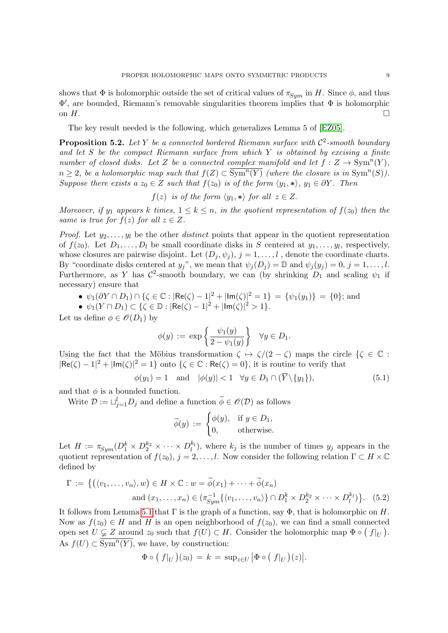shows that  $\Phi$  is holomorphic outside the set of critical values of  $\pi_{Sym}$  in H. Since  $\phi$ , and thus Φ 0 , are bounded, Riemann's removable singularities theorem implies that Φ is holomorphic on  $H$ .

The key result needed is the following, which generalizes Lemma 5 of [\[EZ05\]](#page-15-3).

<span id="page-8-0"></span>**Proposition 5.2.** Let Y be a connected bordered Riemann surface with  $\mathcal{C}^2$ -smooth boundary and let S be the compact Riemann surface from which  $Y$  is obtained by excising a finite number of closed disks. Let Z be a connected complex manifold and let  $f: Z \to \text{Sym}^n(Y)$ ,  $n \geq 2$ , be a holomorphic map such that  $f(Z) \subset \overline{\text{Sym}^n(Y)}$  (where the closure is in  $\text{Sym}^n(S)$ ). Suppose there exists a  $z_0 \in Z$  such that  $f(z_0)$  is of the form  $\langle y_1, * \rangle$ ,  $y_1 \in \partial Y$ . Then

$$
f(z)
$$
 is of the form  $\langle y_1, * \rangle$  for all  $z \in Z$ .

Moreover, if  $y_1$  appears k times,  $1 \leq k \leq n$ , in the quotient representation of  $f(z_0)$  then the same is true for  $f(z)$  for all  $z \in Z$ .

*Proof.* Let  $y_2, \ldots, y_l$  be the other *distinct* points that appear in the quotient representation of  $f(z_0)$ . Let  $D_1, \ldots, D_l$  be small coordinate disks in S centered at  $y_1, \ldots, y_l$ , respectively, whose closures are pairwise disjoint. Let  $(D_j, \psi_j)$ ,  $j = 1, \ldots, l$ , denote the coordinate charts. By "coordinate disks centered at  $y_j$ ", we mean that  $\psi_j(D_j) = \mathbb{D}$  and  $\psi_j(y_j) = 0, j = 1, \ldots, l$ . Furthermore, as Y has  $\mathcal{C}^2$ -smooth boundary, we can (by shrinking  $D_1$  and scaling  $\psi_1$  if necessary) ensure that

• 
$$
\psi_1(\partial Y \cap D_1) \cap {\zeta \in \mathbb{C} : |\text{Re}(\zeta) - 1|^2 + |\text{Im}(\zeta)|^2 = 1} = {\psi_1(y_1)} = {0};
$$
 and

• 
$$
\psi_1(Y \cap D_1) \subset {\zeta \in \mathbb{D} : |\text{Re}(\zeta) - 1|^2 + |\text{Im}(\zeta)|^2 > 1}.
$$

Let us define  $\phi \in \mathcal{O}(D_1)$  by

$$
\phi(y) := \exp\left\{\frac{\psi_1(y)}{2 - \psi_1(y)}\right\} \quad \forall y \in D_1.
$$

Using the fact that the Möbius transformation  $\zeta \mapsto \zeta/(2-\zeta)$  maps the circle  $\{\zeta \in \mathbb{C} :$  $|Re(\zeta) - 1|^2 + |Im(\zeta)|^2 = 1$  onto  $\{\zeta \in \mathbb{C} : Re(\zeta) = 0\}$ , it is routine to verify that

$$
\phi(y_1) = 1 \quad \text{and} \quad |\phi(y)| < 1 \quad \forall y \in D_1 \cap (Y \setminus \{y_1\}), \tag{5.1}
$$

and that  $\phi$  is a bounded function.

Write  $\mathcal{D} := \bigcup_{j=1}^{l} D_j$  and define a function  $\widetilde{\phi} \in \mathscr{O}(\mathcal{D})$  as follows

$$
\widetilde{\phi}(y) := \begin{cases} \phi(y), & \text{if } y \in D_1, \\ 0, & \text{otherwise.} \end{cases}
$$

Let  $H := \pi_{Sym}(D_1^k \times D_2^{k_2} \times \cdots \times D_l^{k_l})$ , where  $k_j$  is the number of times  $y_j$  appears in the quotient representation of  $f(z_0)$ ,  $j = 2, \ldots, l$ . Now consider the following relation  $\Gamma \subset H \times \mathbb{C}$ defined by

$$
\Gamma := \left\{ \left( \langle v_1, \dots, v_n \rangle, w \right) \in H \times \mathbb{C} : w = \widetilde{\phi}(x_1) + \dots + \widetilde{\phi}(x_n) \right\}
$$
  
and  $(x_1, \dots, x_n) \in (\pi_{Sym}^{-1} \{ \langle v_1, \dots, v_n \rangle \} \cap D_1^k \times D_2^{k_2} \times \dots \times D_l^{k_l} ) \right\}.$  (5.2)

It follows from Lemma [5.1](#page-7-0) that  $\Gamma$  is the graph of a function, say  $\Phi$ , that is holomorphic on H. Now as  $f(z_0) \in H$  and H is an open neighborhood of  $f(z_0)$ , we can find a small connected open set  $\hat{U} \subsetneq Z$  around  $z_0$  such that  $f(U) \subset H$ . Consider the holomorphic map  $\Phi \circ (f|_U)$ . As  $f(U) \subset \overline{\text{Sym}^n(Y)}$ , we have, by construction:

$$
\Phi\circ (f|_U)(z_0)=k=\sup_{z\in U}|\Phi\circ (f|_U)(z)|.
$$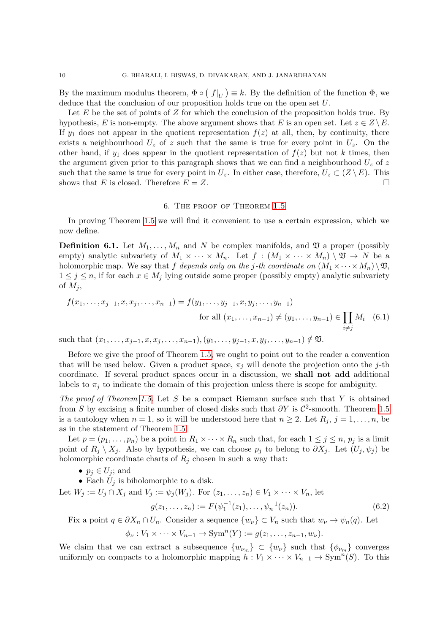By the maximum modulus theorem,  $\Phi \circ (f|_U) \equiv k$ . By the definition of the function  $\Phi$ , we deduce that the conclusion of our proposition holds true on the open set U.

Let  $E$  be the set of points of  $Z$  for which the conclusion of the proposition holds true. By hypothesis, E is non-empty. The above argument shows that E is an open set. Let  $z \in Z \backslash E$ . If  $y_1$  does not appear in the quotient representation  $f(z)$  at all, then, by continuity, there exists a neighbourhood  $U_z$  of z such that the same is true for every point in  $U_z$ . On the other hand, if  $y_1$  does appear in the quotient representation of  $f(z)$  but not k times, then the argument given prior to this paragraph shows that we can find a neighbourhood  $U_z$  of z such that the same is true for every point in  $U_z$ . In either case, therefore,  $U_z \subset (Z \setminus E)$ . This shows that E is closed. Therefore  $E = Z$ .

#### 6. The proof of Theorem [1.5](#page-2-1)

<span id="page-9-0"></span>In proving Theorem [1.5](#page-2-1) we will find it convenient to use a certain expression, which we now define.

<span id="page-9-2"></span>**Definition 6.1.** Let  $M_1, \ldots, M_n$  and N be complex manifolds, and  $\mathfrak V$  a proper (possibly empty) analytic subvariety of  $M_1 \times \cdots \times M_n$ . Let  $f : (M_1 \times \cdots \times M_n) \setminus \mathfrak{V} \to N$  be a holomorphic map. We say that f depends only on the j-th coordinate on  $(M_1 \times \cdots \times M_n) \setminus \mathfrak{V}$ ,  $1 \leq j \leq n$ , if for each  $x \in M_j$  lying outside some proper (possibly empty) analytic subvariety of  $M_i$ ,

$$
f(x_1, ..., x_{j-1}, x, x_j, ..., x_{n-1}) = f(y_1, ..., y_{j-1}, x, y_j, ..., y_{n-1})
$$
  
for all  $(x_1, ..., x_{n-1}) \neq (y_1, ..., y_{n-1}) \in \prod_{i \neq j} M_i$  (6.1)  
we have  $(x_1, ..., x_{n-1}) \neq (y_1, ..., y_{n-1}) \notin \mathfrak{M}$ 

such that  $(x_1, \ldots, x_{j-1}, x, x_j, \ldots, x_{n-1}), (y_1, \ldots, y_{j-1}, x, y_j, \ldots, y_{n-1}) \notin \mathfrak{V}$ .

Before we give the proof of Theorem [1.5,](#page-2-1) we ought to point out to the reader a convention that will be used below. Given a product space,  $\pi_j$  will denote the projection onto the j-th coordinate. If several product spaces occur in a discussion, we shall not add additional labels to  $\pi_i$  to indicate the domain of this projection unless there is scope for ambiguity.

The proof of Theorem [1.5.](#page-2-1) Let S be a compact Riemann surface such that Y is obtained from S by excising a finite number of closed disks such that  $\partial Y$  is  $\mathcal{C}^2$ -smooth. Theorem [1.5](#page-2-1) is a tautology when  $n = 1$ , so it will be understood here that  $n \geq 2$ . Let  $R_j$ ,  $j = 1, \ldots, n$ , be as in the statement of Theorem [1.5.](#page-2-1)

Let  $p = (p_1, \ldots, p_n)$  be a point in  $R_1 \times \cdots \times R_n$  such that, for each  $1 \leq j \leq n$ ,  $p_j$  is a limit point of  $R_i \setminus X_j$ . Also by hypothesis, we can choose  $p_i$  to belong to  $\partial X_i$ . Let  $(U_i, \psi_i)$  be holomorphic coordinate charts of  $R_i$  chosen in such a way that:

•  $p_j \in U_j$ ; and

• Each  $U_i$  is biholomorphic to a disk.

Let 
$$
W_j := U_j \cap X_j
$$
 and  $V_j := \psi_j(W_j)$ . For  $(z_1, ..., z_n) \in V_1 \times \cdots \times V_n$ , let  

$$
g(z_1, ..., z_n) := F(\psi_1^{-1}(z_1), ..., \psi_n^{-1}(z_n)).
$$
(6.2)

Fix a point  $q \in \partial X_n \cap U_n$ . Consider a sequence  $\{w_\nu\} \subset V_n$  such that  $w_\nu \to \psi_n(q)$ . Let

<span id="page-9-1"></span> $\phi_{\nu}: V_1 \times \cdots \times V_{n-1} \to \text{Sym}^n(Y) := g(z_1, \ldots, z_{n-1}, w_{\nu}).$ 

We claim that we can extract a subsequence  $\{w_{\nu_m}\}\subset \{w_{\nu}\}\$  such that  $\{\phi_{\nu_m}\}\$  converges uniformly on compacts to a holomorphic mapping  $h: V_1 \times \cdots \times V_{n-1} \to \text{Sym}^n(S)$ . To this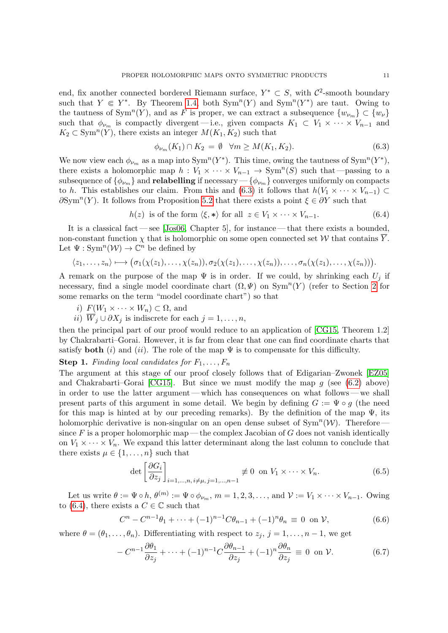end, fix another connected bordered Riemann surface,  $Y^* \subset S$ , with  $\mathcal{C}^2$ -smooth boundary such that  $Y \in Y^*$ . By Theorem [1.4,](#page-2-2) both  $Sym^n(Y)$  and  $Sym^n(Y^*)$  are taut. Owing to the tautness of Sym<sup>n</sup>(Y), and as F is proper, we can extract a subsequence  $\{w_{\nu_m}\}\subset \{w_{\nu}\}\$ such that  $\phi_{\nu_m}$  is compactly divergent — i.e., given compacts  $K_1 \subset V_1 \times \cdots \times V_{n-1}$  and  $K_2 \subset \text{Sym}^n(Y)$ , there exists an integer  $M(K_1, K_2)$  such that

<span id="page-10-1"></span>
$$
\phi_{\nu_m}(K_1) \cap K_2 = \emptyset \quad \forall m \ge M(K_1, K_2). \tag{6.3}
$$

We now view each  $\phi_{\nu_m}$  as a map into  $\text{Sym}^n(Y^*)$ . This time, owing the tautness of  $\text{Sym}^n(Y^*)$ , there exists a holomorphic map  $h: V_1 \times \cdots \times V_{n-1} \to \text{Sym}^n(S)$  such that —passing to a subsequence of  $\{\phi_{\nu_m}\}\$ and relabelling if necessary  $-\{\phi_{\nu_m}\}\$ converges uniformly on compacts to h. This establishes our claim. From this and [\(6.3\)](#page-10-1) it follows that  $h(V_1 \times \cdots \times V_{n-1}) \subset$  $\partial \text{Sym}^n(Y)$ . It follows from Proposition [5.2](#page-8-0) that there exists a point  $\xi \in \partial Y$  such that

<span id="page-10-0"></span>
$$
h(z) \text{ is of the form } \langle \xi, * \rangle \text{ for all } z \in V_1 \times \dots \times V_{n-1}. \tag{6.4}
$$

It is a classical fact — see [\[Jos06,](#page-15-13) Chapter 5], for instance — that there exists a bounded, non-constant function  $\chi$  that is holomorphic on some open connected set W that contains  $\overline{Y}$ . Let  $\Psi: \text{Sym}^n(\mathcal{W}) \to \mathbb{C}^n$  be defined by

$$
\langle z_1,\ldots,z_n\rangle\longmapsto \big(\sigma_1(\chi(z_1),\ldots,\chi(z_n)),\sigma_2(\chi(z_1),\ldots,\chi(z_n)),\ldots,\sigma_n(\chi(z_1),\ldots,\chi(z_n))\big).
$$

A remark on the purpose of the map  $\Psi$  is in order. If we could, by shrinking each  $U_i$  if necessary, find a single model coordinate chart  $(\Omega, \Psi)$  on  $\text{Sym}^n(Y)$  (refer to Section [2](#page-3-0) for some remarks on the term "model coordinate chart") so that

- i)  $F(W_1 \times \cdots \times W_n) \subset \Omega$ , and
- ii)  $\overline{W}_j \cup \partial X_j$  is indiscrete for each  $j = 1, \ldots, n$ ,

then the principal part of our proof would reduce to an application of [\[CG15,](#page-15-6) Theorem 1.2] by Chakrabarti–Gorai. However, it is far from clear that one can find coordinate charts that satisfy **both** (i) and (ii). The role of the map  $\Psi$  is to compensate for this difficulty.

**Step 1.** Finding local candidates for  $F_1, \ldots, F_n$ 

The argument at this stage of our proof closely follows that of Edigarian–Zwonek [\[EZ05\]](#page-15-3) and Chakrabarti–Gorai [\[CG15\]](#page-15-6). But since we must modify the map  $q$  (see [\(6.2\)](#page-9-1) above) in order to use the latter argument — which has consequences on what follows — we shall present parts of this argument in some detail. We begin by defining  $G := \Psi \circ g$  (the need for this map is hinted at by our preceding remarks). By the definition of the map  $\Psi$ , its holomorphic derivative is non-singular on an open dense subset of  $Sym<sup>n</sup>(W)$ . Therefore since  $F$  is a proper holomorphic map — the complex Jacobian of  $G$  does not vanish identically on  $V_1 \times \cdots \times V_n$ . We expand this latter determinant along the last column to conclude that there exists  $\mu \in \{1, \ldots, n\}$  such that

<span id="page-10-3"></span>
$$
\det \left[ \frac{\partial G_i}{\partial z_j} \right]_{i=1,\dots,n, i \neq \mu, j=1,\dots,n-1} \not\equiv 0 \text{ on } V_1 \times \dots \times V_n. \tag{6.5}
$$

Let us write  $\theta := \Psi \circ h, \theta^{(m)} := \Psi \circ \phi_{\nu_m}, m = 1, 2, 3, \dots$ , and  $\mathcal{V} := V_1 \times \cdots \times V_{n-1}$ . Owing to [\(6.4\)](#page-10-0), there exists a  $C \in \mathbb{C}$  such that

<span id="page-10-4"></span>
$$
C^{n} - C^{n-1}\theta_{1} + \dots + (-1)^{n-1}C\theta_{n-1} + (-1)^{n}\theta_{n} \equiv 0 \text{ on } \mathcal{V},
$$
\n(6.6)

where  $\theta = (\theta_1, \ldots, \theta_n)$ . Differentiating with respect to  $z_j$ ,  $j = 1, \ldots, n-1$ , we get

<span id="page-10-2"></span>
$$
-C^{n-1}\frac{\partial\theta_1}{\partial z_j}+\cdots+(-1)^{n-1}C\frac{\partial\theta_{n-1}}{\partial z_j}+(-1)^n\frac{\partial\theta_n}{\partial z_j}\equiv 0 \text{ on }\mathcal{V}.\tag{6.7}
$$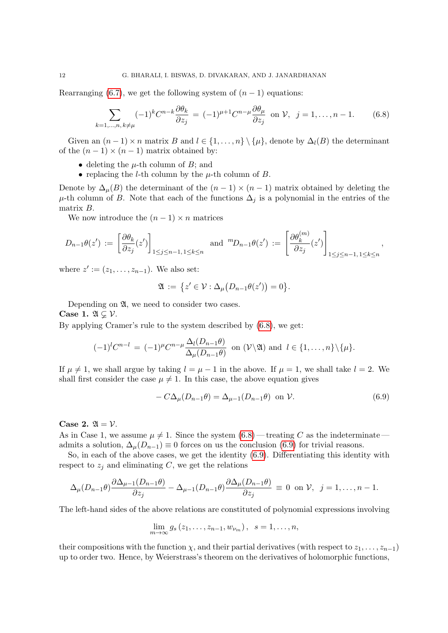Rearranging [\(6.7\)](#page-10-2), we get the following system of  $(n-1)$  equations:

<span id="page-11-0"></span>
$$
\sum_{k=1,\dots,n,\,k\neq\mu}(-1)^k C^{n-k}\frac{\partial \theta_k}{\partial z_j} = (-1)^{\mu+1} C^{n-\mu} \frac{\partial \theta_\mu}{\partial z_j} \text{ on } \mathcal{V}, \ j=1,\dots,n-1. \tag{6.8}
$$

Given an  $(n-1) \times n$  matrix B and  $l \in \{1, ..., n\} \setminus \{\mu\}$ , denote by  $\Delta_l(B)$  the determinant of the  $(n-1) \times (n-1)$  matrix obtained by:

- deleting the  $\mu$ -th column of B; and
- replacing the *l*-th column by the  $\mu$ -th column of *B*.

Denote by  $\Delta_{\mu}(B)$  the determinant of the  $(n-1) \times (n-1)$  matrix obtained by deleting the  $\mu$ -th column of B. Note that each of the functions  $\Delta_j$  is a polynomial in the entries of the matrix B.

We now introduce the  $(n-1) \times n$  matrices

$$
D_{n-1}\theta(z') := \left[\frac{\partial \theta_k}{\partial z_j}(z')\right]_{1 \le j \le n-1, 1 \le k \le n} \text{ and } {}^{m}D_{n-1}\theta(z') := \left[\frac{\partial \theta_k^{(m)}}{\partial z_j}(z')\right]_{1 \le j \le n-1, 1 \le k \le n},
$$

where  $z' := (z_1, \ldots, z_{n-1})$ . We also set:

$$
\mathfrak{A} := \{ z' \in \mathcal{V} : \Delta_{\mu} (D_{n-1} \theta(z')) = 0 \}.
$$

Depending on  $\mathfrak{A}$ , we need to consider two cases.

Case 1.  $\mathfrak{A} \subsetneq \mathcal{V}$ .

By applying Cramer's rule to the system described by [\(6.8\)](#page-11-0), we get:

$$
(-1)^{l}C^{n-l}=(-1)^{\mu}C^{n-\mu}\frac{\Delta_l(D_{n-1}\theta)}{\Delta_{\mu}(D_{n-1}\theta)}\ \ \text{on}\ (\mathcal{V}\backslash\mathfrak{A})\ \text{and}\ \ l\in\{1,\ldots,n\}\backslash\{\mu\}.
$$

If  $\mu \neq 1$ , we shall argue by taking  $l = \mu - 1$  in the above. If  $\mu = 1$ , we shall take  $l = 2$ . We shall first consider the case  $\mu \neq 1$ . In this case, the above equation gives

<span id="page-11-1"></span>
$$
-C\Delta_{\mu}(D_{n-1}\theta) = \Delta_{\mu-1}(D_{n-1}\theta) \text{ on } \mathcal{V}.
$$
 (6.9)

# Case 2.  $\mathfrak{A} = \mathcal{V}$ .

As in Case 1, we assume  $\mu \neq 1$ . Since the system  $(6.8)$ —treating C as the indeterminate admits a solution,  $\Delta_{\mu}(D_{n-1}) \equiv 0$  forces on us the conclusion [\(6.9\)](#page-11-1) for trivial reasons.

So, in each of the above cases, we get the identity [\(6.9\)](#page-11-1). Differentiating this identity with respect to  $z_i$  and eliminating C, we get the relations

$$
\Delta_{\mu}(D_{n-1}\theta) \frac{\partial \Delta_{\mu-1}(D_{n-1}\theta)}{\partial z_j} - \Delta_{\mu-1}(D_{n-1}\theta) \frac{\partial \Delta_{\mu}(D_{n-1}\theta)}{\partial z_j} \equiv 0 \text{ on } \mathcal{V}, \ \ j=1,\ldots,n-1.
$$

The left-hand sides of the above relations are constituted of polynomial expressions involving

$$
\lim_{m\to\infty} g_s(z_1,\ldots,z_{n-1},w_{\nu_m}),\ \ s=1,\ldots,n,
$$

their compositions with the function  $\chi$ , and their partial derivatives (with respect to  $z_1, \ldots, z_{n-1}$ ) up to order two. Hence, by Weierstrass's theorem on the derivatives of holomorphic functions,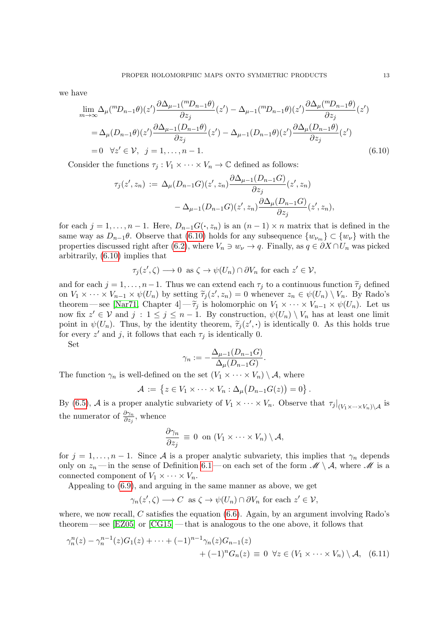we have

$$
\lim_{m \to \infty} \Delta_{\mu} \binom{m_{n-1} \theta(z') \frac{\partial \Delta_{\mu-1} \binom{m_{n-1} \theta}{\partial z_j}}{\partial z_j} (z') - \Delta_{\mu-1} \binom{m_{n-1} \theta(z') \frac{\partial \Delta_{\mu} \binom{m_{n-1} \theta}{\partial z_j}}{\partial z_j} (z')
$$
\n
$$
= \Delta_{\mu} (D_{n-1} \theta)(z') \frac{\partial \Delta_{\mu-1} \binom{m_{n-1} \theta}{\partial z_j}}{\partial z_j} (z') - \Delta_{\mu-1} (D_{n-1} \theta)(z') \frac{\partial \Delta_{\mu} \binom{m_{n-1} \theta}{\partial z_j}}{\partial z_j} (z')
$$
\n
$$
= 0 \quad \forall z' \in \mathcal{V}, \quad j = 1, \dots, n-1. \tag{6.10}
$$

Consider the functions  $\tau_j : V_1 \times \cdots \times V_n \to \mathbb{C}$  defined as follows:

<span id="page-12-0"></span>
$$
\tau_j(z', z_n) := \Delta_{\mu}(D_{n-1}G)(z', z_n) \frac{\partial \Delta_{\mu-1}(D_{n-1}G)}{\partial z_j}(z', z_n)
$$

$$
-\Delta_{\mu-1}(D_{n-1}G)(z', z_n) \frac{\partial \Delta_{\mu}(D_{n-1}G)}{\partial z_j}(z', z_n),
$$

for each  $j = 1, \ldots, n - 1$ . Here,  $D_{n-1}G(\cdot, z_n)$  is an  $(n-1) \times n$  matrix that is defined in the same way as  $D_{n-1}\theta$ . Observe that [\(6.10\)](#page-12-0) holds for any subsequence  $\{w_{\nu_m}\}\subset \{w_{\nu}\}\$  with the properties discussed right after [\(6.2\)](#page-9-1), where  $V_n \ni w_\nu \to q$ . Finally, as  $q \in \partial X \cap U_n$  was picked arbitrarily, [\(6.10\)](#page-12-0) implies that

$$
\tau_j(z',\zeta) \longrightarrow 0 \text{ as } \zeta \to \psi(U_n) \cap \partial V_n \text{ for each } z' \in \mathcal{V},
$$

and for each  $j = 1, \ldots, n-1$ . Thus we can extend each  $\tau_j$  to a continuous function  $\tilde{\tau}_j$  defined on  $V_1 \times \cdots \times V_{n-1} \times \psi(U_n)$  by setting  $\tilde{\tau}_j(z', z_n) = 0$  whenever  $z_n \in \psi(U_n) \setminus V_n$ . By Rado's<br>theorem see Nar<sup>71</sup> Chapter  $A \subset \tilde{\tau}_j$  is belomerable on  $V_1 \times \cdots \times V_{n-1} \times \psi(U_n)$ . Let us theorem — see [\[Nar71,](#page-15-1) Chapter 4] —  $\tilde{\tau}_i$  is holomorphic on  $V_1 \times \cdots \times V_{n-1} \times \psi(U_n)$ . Let us now fix  $z' \in V$  and  $j : 1 \leq j \leq n-1$ . By construction,  $\psi(U_n) \setminus V_n$  has at least one limit point in  $\psi(U_n)$ . Thus, by the identity theorem,  $\tilde{\tau}_j(z', \cdot)$  is identically 0. As this holds true<br>for overy  $z'$  and i, it follows that each  $\tau$ , is identically 0. for every  $z'$  and j, it follows that each  $\tau_j$  is identically 0.

Set

$$
\gamma_n := -\frac{\Delta_{\mu-1}(D_{n-1}G)}{\Delta_{\mu}(D_{n-1}G)}.
$$

The function  $\gamma_n$  is well-defined on the set  $(V_1 \times \cdots \times V_n) \setminus A$ , where

$$
\mathcal{A} := \{ z \in V_1 \times \cdots \times V_n : \Delta_{\mu}(D_{n-1}G(z)) = 0 \}.
$$

By [\(6.5\)](#page-10-3), A is a proper analytic subvariety of  $V_1 \times \cdots \times V_n$ . Observe that  $\tau_j|_{(V_1 \times \cdots \times V_n) \setminus \mathcal{A}}$  is the numerator of  $\frac{\partial \gamma_n}{\partial z_j}$ , whence

<span id="page-12-1"></span>
$$
\frac{\partial \gamma_n}{\partial z_j} \equiv 0 \ \text{ on } (V_1 \times \cdots \times V_n) \setminus A,
$$

for  $j = 1, \ldots, n - 1$ . Since A is a proper analytic subvariety, this implies that  $\gamma_n$  depends only on  $z_n$ —in the sense of Definition [6.1](#page-9-2)—on each set of the form  $\mathscr{M} \setminus \mathcal{A}$ , where  $\mathscr{M}$  is a connected component of  $V_1 \times \cdots \times V_n$ .

Appealing to [\(6.9\)](#page-11-1), and arguing in the same manner as above, we get

$$
\gamma_n(z',\zeta) \longrightarrow C \text{ as } \zeta \to \psi(U_n) \cap \partial V_n \text{ for each } z' \in \mathcal{V},
$$

where, we now recall, C satisfies the equation  $(6.6)$ . Again, by an argument involving Rado's theorem — see [\[EZ05\]](#page-15-3) or [\[CG15\]](#page-15-6) — that is analogous to the one above, it follows that

$$
\gamma_n^n(z) - \gamma_n^{n-1}(z)G_1(z) + \dots + (-1)^{n-1}\gamma_n(z)G_{n-1}(z) + (-1)^n G_n(z) \equiv 0 \ \forall z \in (V_1 \times \dots \times V_n) \setminus \mathcal{A}, \tag{6.11}
$$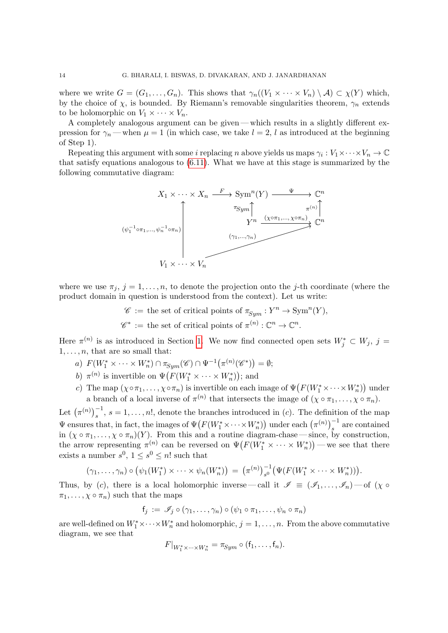where we write  $G = (G_1, \ldots, G_n)$ . This shows that  $\gamma_n((V_1 \times \cdots \times V_n) \setminus A) \subset \chi(Y)$  which, by the choice of  $\chi$ , is bounded. By Riemann's removable singularities theorem,  $\gamma_n$  extends to be holomorphic on  $V_1 \times \cdots \times V_n$ .

A completely analogous argument can be given— which results in a slightly different expression for  $\gamma_n$ —when  $\mu = 1$  (in which case, we take  $l = 2, l$  as introduced at the beginning of Step 1).

Repeating this argument with some i replacing n above yields us maps  $\gamma_i : V_1 \times \cdots \times V_n \to \mathbb{C}$ that satisfy equations analogous to  $(6.11)$ . What we have at this stage is summarized by the following commutative diagram:



where we use  $\pi_j$ ,  $j = 1, \ldots, n$ , to denote the projection onto the j-th coordinate (where the product domain in question is understood from the context). Let us write:

$$
\mathscr{C} := \text{the set of critical points of } \pi_{\text{Sym}} : Y^n \to \text{Sym}^n(Y),
$$
  

$$
\mathscr{C}^* := \text{the set of critical points of } \pi^{(n)} : \mathbb{C}^n \to \mathbb{C}^n.
$$

Here  $\pi^{(n)}$  is as introduced in Section [1.](#page-0-1) We now find connected open sets  $W_j^* \subset W_j$ ,  $j =$  $1, \ldots, n$ , that are so small that:

- a)  $F(W_1^* \times \cdots \times W_n^*) \cap \pi_{Sym}(\mathscr{C}) \cap \Psi^{-1}(\pi^{(n)}(\mathscr{C}^*)) = \emptyset;$
- b)  $\pi^{(n)}$  is invertible on  $\Psi(F(W_1^* \times \cdots \times W_n^*))$ ; and
- c) The map  $(\chi \circ \pi_1, \ldots, \chi \circ \pi_n)$  is invertible on each image of  $\Psi(F(W_1^* \times \cdots \times W_n^*))$  under a branch of a local inverse of  $\pi^{(n)}$  that intersects the image of  $(\chi \circ \pi_1, \ldots, \chi \circ \pi_n)$ .

Let  $(\pi^{(n)})_s^{-1}, s = 1, \ldots, n!$ , denote the branches introduced in (*c*). The definition of the map  $\Psi$  ensures that, in fact, the images of  $\Psi\big(F(W_1^* \times \cdots \times W_n^*)\big)$  under each  $\big(\pi^{(n)}\big)_s^{-1}$  are contained in  $(\chi \circ \pi_1, \ldots, \chi \circ \pi_n)(Y)$ . From this and a routine diagram-chase—since, by construction, the arrow representing  $\pi^{(n)}$  can be reversed on  $\Psi(F(W_1^* \times \cdots \times W_n^*))$  — we see that there exists a number  $s^0$ ,  $1 \leq s^0 \leq n!$  such that

$$
(\gamma_1,\ldots,\gamma_n)\circ\big(\psi_1(W_1^*)\times\cdots\times\psi_n(W_n^*)\big)=\big(\pi^{(n)}\big)^{-1}_{s^0}\big(\Psi(F(W_1^*\times\cdots\times W_n^*))\big).
$$

Thus, by (c), there is a local holomorphic inverse—call it  $\mathscr{I} \equiv (\mathscr{I}_1, \ldots, \mathscr{I}_n)$ —of ( $\chi \circ$  $\pi_1, \ldots, \chi \circ \pi_n$  such that the maps

$$
f_j := \mathscr{I}_j \circ (\gamma_1, \ldots, \gamma_n) \circ (\psi_1 \circ \pi_1, \ldots, \psi_n \circ \pi_n)
$$

are well-defined on  $W_1^* \times \cdots \times W_n^*$  and holomorphic,  $j = 1, \ldots, n$ . From the above commutative diagram, we see that

$$
F|_{W_1^*\times\cdots\times W_n^*}=\pi_{Sym}\circ(\mathsf{f}_1,\ldots,\mathsf{f}_n).
$$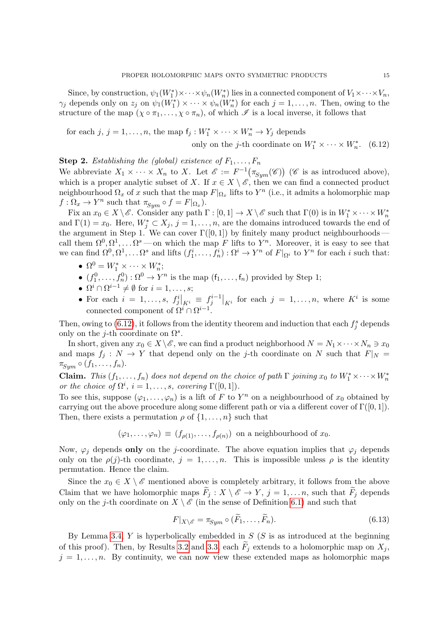Since, by construction,  $\psi_1(W_1^*) \times \cdots \times \psi_n(W_n^*)$  lies in a connected component of  $V_1 \times \cdots \times V_n$ ,  $\gamma_j$  depends only on  $z_j$  on  $\psi_1(W_1^*) \times \cdots \times \psi_n(W_n^*)$  for each  $j = 1, \ldots, n$ . Then, owing to the structure of the map  $(\chi \circ \pi_1, \ldots, \chi \circ \pi_n)$ , of which  $\mathscr I$  is a local inverse, it follows that

for each  $j, j = 1, ..., n$ , the map  $f_j: W_1^* \times \cdots \times W_n^* \to Y_j$  depends

<span id="page-14-0"></span>only on the *j*-th coordinate on  $W_1^* \times \cdots \times W_n^*$ . (6.12)

**Step 2.** Establishing the (global) existence of  $F_1, \ldots, F_n$ 

We abbreviate  $X_1 \times \cdots \times X_n$  to X. Let  $\mathscr{E} := F^{-1}(\pi_{Sym}(\mathscr{C}))$  ( $\mathscr{C}$  is as introduced above), which is a proper analytic subset of X. If  $x \in X \setminus \mathscr{E}$ , then we can find a connected product neighbourhood  $\Omega_x$  of x such that the map  $F|_{\Omega_x}$  lifts to  $Y^n$  (i.e., it admits a holomorphic map  $f: \Omega_x \to Y^n$  such that  $\pi_{Sym} \circ f = F|_{\Omega_x}$ ).

Fix an  $x_0 \in X \setminus \mathscr{E}$ . Consider any path  $\Gamma : [0,1] \to X \setminus \mathscr{E}$  such that  $\Gamma(0)$  is in  $W_1^* \times \cdots \times W_n^*$ and  $\Gamma(1) = x_0$ . Here,  $W_j^* \subset X_j$ ,  $j = 1, \ldots, n$ , are the domains introduced towards the end of the argument in Step 1. We can cover  $\Gamma([0,1])$  by finitely many product neighbourhoods call them  $\Omega^0, \Omega^1, \ldots \Omega^s$  — on which the map F lifts to  $Y^n$ . Moreover, it is easy to see that we can find  $\Omega^0, \Omega^1, \ldots \Omega^s$  and lifts  $(f_1^i, \ldots, f_n^i) : \Omega^i \to Y^n$  of  $F|_{\Omega^i}$  to  $Y^n$  for each i such that:

- $\Omega^0 = W_1^* \times \cdots \times W_n^*$ ;
- $(f_1^0, \ldots, f_n^0) : \Omega^0 \to Y^n$  is the map  $(f_1, \ldots, f_n)$  provided by Step 1;
- $\Omega^i \cap \Omega^{i-1} \neq \emptyset$  for  $i = 1, \ldots, s;$
- For each  $i = 1, \ldots, s, f^i_j|_{K^i} \equiv f^{i-1}_j|_{K^i}$  for each  $j = 1, \ldots, n$ , where  $K^i$  is some connected component of  $\Omega^i \cap \Omega^{i-1}$ .

Then, owing to  $(6.12)$ , it follows from the identity theorem and induction that each  $f_j^s$  depends only on the j-th coordinate on  $\Omega^s$ .

In short, given any  $x_0 \in X \setminus \mathscr{E}$ , we can find a product neighborhood  $N = N_1 \times \cdots \times N_n \ni x_0$ and maps  $f_j : N \to Y$  that depend only on the j-th coordinate on N such that  $F|_N =$  $\pi_{Sym} \circ (f_1, \ldots, f_n).$ 

**Claim.** This  $(f_1, \ldots, f_n)$  does not depend on the choice of path  $\Gamma$  joining  $x_0$  to  $W_1^* \times \cdots \times W_n^*$ or the choice of  $\Omega^i$ ,  $i = 1, \ldots, s$ , covering  $\Gamma([0, 1]).$ 

To see this, suppose  $(\varphi_1, \ldots, \varphi_n)$  is a lift of F to Y<sup>n</sup> on a neighbourhood of  $x_0$  obtained by carrying out the above procedure along some different path or via a different cover of  $\Gamma([0, 1])$ . Then, there exists a permutation  $\rho$  of  $\{1, \ldots, n\}$  such that

$$
(\varphi_1,\ldots,\varphi_n) \equiv (f_{\rho(1)},\ldots,f_{\rho(n)})
$$
 on a neighbourhood of  $x_0$ .

Now,  $\varphi_i$  depends only on the j-coordinate. The above equation implies that  $\varphi_i$  depends only on the  $\rho(j)$ -th coordinate,  $j = 1, \ldots, n$ . This is impossible unless  $\rho$  is the identity permutation. Hence the claim.

Since the  $x_0 \in X \setminus \mathscr{E}$  mentioned above is completely arbitrary, it follows from the above Claim that we have holomorphic maps  $\widetilde{F}_j : X \setminus \mathscr{E} \to Y, j = 1, \ldots n$ , such that  $\widetilde{F}_j$  depends only on the j-th coordinate on  $X \setminus \mathscr{E}$  (in the sense of Definition [6.1\)](#page-9-2) and such that

<span id="page-14-1"></span>
$$
F|_{X\setminus\mathscr{E}} = \pi_{\text{Sym}} \circ (\widetilde{F}_1, \dots, \widetilde{F}_n). \tag{6.13}
$$

By Lemma [3.4,](#page-4-1)  $Y$  is hyperbolically embedded in  $S(S)$  is as introduced at the beginning of this proof). Then, by Results [3.2](#page-4-2) and [3.3,](#page-4-3) each  $\widetilde{F}_j$  extends to a holomorphic map on  $X_j$ ,  $j = 1, \ldots, n$ . By continuity, we can now view these extended maps as holomorphic maps